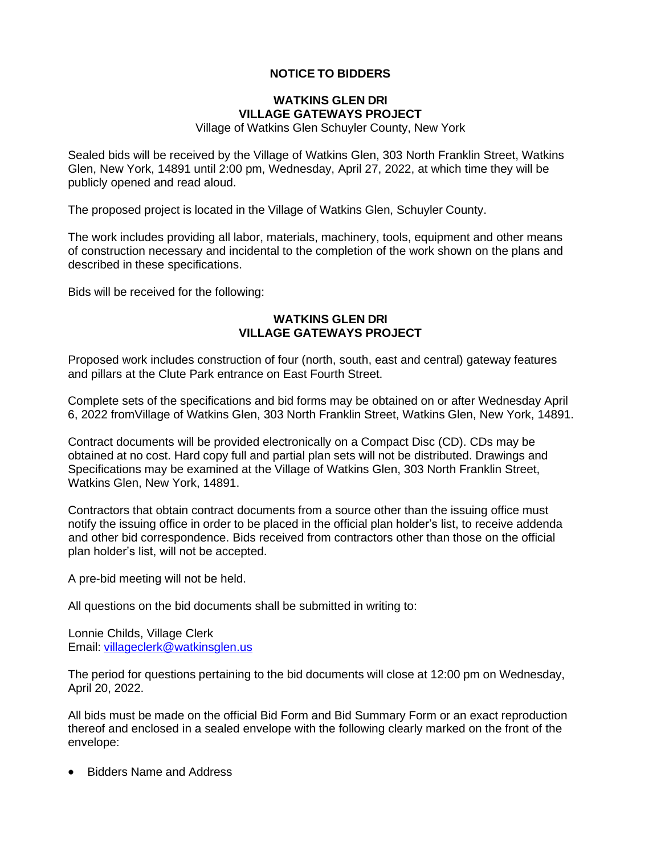# **NOTICE TO BIDDERS**

## **WATKINS GLEN DRI VILLAGE GATEWAYS PROJECT**

Village of Watkins Glen Schuyler County, New York

Sealed bids will be received by the Village of Watkins Glen, 303 North Franklin Street, Watkins Glen, New York, 14891 until 2:00 pm, Wednesday, April 27, 2022, at which time they will be publicly opened and read aloud.

The proposed project is located in the Village of Watkins Glen, Schuyler County.

The work includes providing all labor, materials, machinery, tools, equipment and other means of construction necessary and incidental to the completion of the work shown on the plans and described in these specifications.

Bids will be received for the following:

## **WATKINS GLEN DRI VILLAGE GATEWAYS PROJECT**

Proposed work includes construction of four (north, south, east and central) gateway features and pillars at the Clute Park entrance on East Fourth Street.

Complete sets of the specifications and bid forms may be obtained on or after Wednesday April 6, 2022 fromVillage of Watkins Glen, 303 North Franklin Street, Watkins Glen, New York, 14891.

Contract documents will be provided electronically on a Compact Disc (CD). CDs may be obtained at no cost. Hard copy full and partial plan sets will not be distributed. Drawings and Specifications may be examined at the Village of Watkins Glen, 303 North Franklin Street, Watkins Glen, New York, 14891.

Contractors that obtain contract documents from a source other than the issuing office must notify the issuing office in order to be placed in the official plan holder's list, to receive addenda and other bid correspondence. Bids received from contractors other than those on the official plan holder's list, will not be accepted.

A pre-bid meeting will not be held.

All questions on the bid documents shall be submitted in writing to:

Lonnie Childs, Village Clerk Email: [villageclerk@watkinsglen.us](mailto:villageclerk@watkinsglen.us)

The period for questions pertaining to the bid documents will close at 12:00 pm on Wednesday, April 20, 2022.

All bids must be made on the official Bid Form and Bid Summary Form or an exact reproduction thereof and enclosed in a sealed envelope with the following clearly marked on the front of the envelope:

• Bidders Name and Address